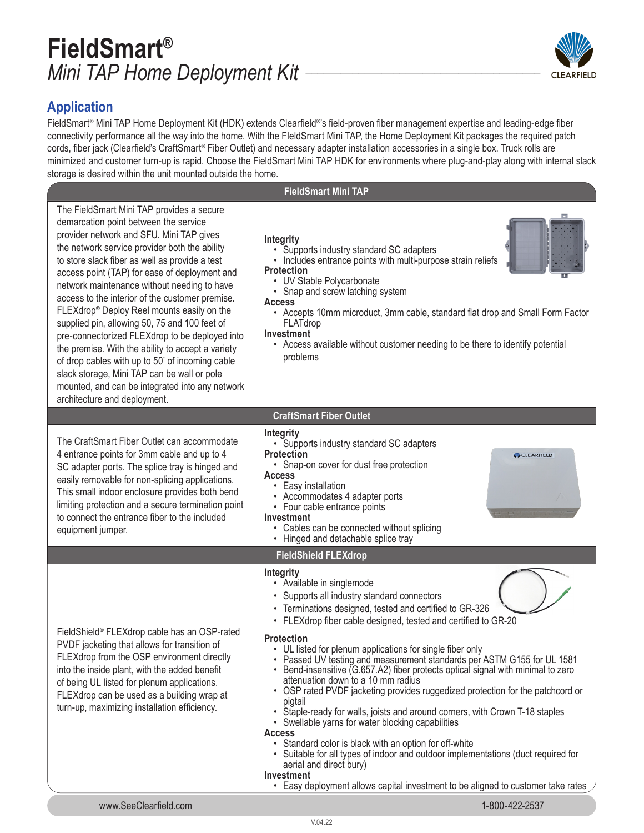## **FieldSmart®** *Mini TAP Home Deployment Kit \_\_\_\_\_\_\_\_\_\_\_\_\_\_\_\_\_\_\_\_\_\_\_\_\_\_\_\_\_\_\_\_\_\_\_\_\_\_\_\_*



### **Application**

FieldSmart® Mini TAP Home Deployment Kit (HDK) extends Clearfield®'s field-proven fiber management expertise and leading-edge fiber connectivity performance all the way into the home. With the FIeldSmart Mini TAP, the Home Deployment Kit packages the required patch cords, fiber jack (Clearfield's CraftSmart® Fiber Outlet) and necessary adapter installation accessories in a single box. Truck rolls are minimized and customer turn-up is rapid. Choose the FieldSmart Mini TAP HDK for environments where plug-and-play along with internal slack storage is desired within the unit mounted outside the home.

| siorage is desired within the unit modified outside the nome.<br><b>FieldSmart Mini TAP</b>                                                                                                                                                                                                                                                                                                                                                                                                                                                                                                                                                                                                                                                                                     |                                                                                                                                                                                                                                                                                                                                                                                                                                                                                                                                                                                                                                                                                                                                                                                                                                                                                                                                                                                                                                          |  |  |  |
|---------------------------------------------------------------------------------------------------------------------------------------------------------------------------------------------------------------------------------------------------------------------------------------------------------------------------------------------------------------------------------------------------------------------------------------------------------------------------------------------------------------------------------------------------------------------------------------------------------------------------------------------------------------------------------------------------------------------------------------------------------------------------------|------------------------------------------------------------------------------------------------------------------------------------------------------------------------------------------------------------------------------------------------------------------------------------------------------------------------------------------------------------------------------------------------------------------------------------------------------------------------------------------------------------------------------------------------------------------------------------------------------------------------------------------------------------------------------------------------------------------------------------------------------------------------------------------------------------------------------------------------------------------------------------------------------------------------------------------------------------------------------------------------------------------------------------------|--|--|--|
|                                                                                                                                                                                                                                                                                                                                                                                                                                                                                                                                                                                                                                                                                                                                                                                 |                                                                                                                                                                                                                                                                                                                                                                                                                                                                                                                                                                                                                                                                                                                                                                                                                                                                                                                                                                                                                                          |  |  |  |
| The FieldSmart Mini TAP provides a secure<br>demarcation point between the service<br>provider network and SFU. Mini TAP gives<br>the network service provider both the ability<br>to store slack fiber as well as provide a test<br>access point (TAP) for ease of deployment and<br>network maintenance without needing to have<br>access to the interior of the customer premise.<br>FLEXdrop® Deploy Reel mounts easily on the<br>supplied pin, allowing 50, 75 and 100 feet of<br>pre-connectorized FLEXdrop to be deployed into<br>the premise. With the ability to accept a variety<br>of drop cables with up to 50' of incoming cable<br>slack storage, Mini TAP can be wall or pole<br>mounted, and can be integrated into any network<br>architecture and deployment. | Integrity<br>• Supports industry standard SC adapters<br>• Includes entrance points with multi-purpose strain reliefs<br><b>Protection</b><br>• UV Stable Polycarbonate<br>• Snap and screw latching system<br><b>Access</b><br>• Accepts 10mm microduct, 3mm cable, standard flat drop and Small Form Factor<br>FLATdrop<br>Investment<br>• Access available without customer needing to be there to identify potential<br>problems                                                                                                                                                                                                                                                                                                                                                                                                                                                                                                                                                                                                     |  |  |  |
|                                                                                                                                                                                                                                                                                                                                                                                                                                                                                                                                                                                                                                                                                                                                                                                 | <b>CraftSmart Fiber Outlet</b>                                                                                                                                                                                                                                                                                                                                                                                                                                                                                                                                                                                                                                                                                                                                                                                                                                                                                                                                                                                                           |  |  |  |
| The CraftSmart Fiber Outlet can accommodate<br>4 entrance points for 3mm cable and up to 4<br>SC adapter ports. The splice tray is hinged and<br>easily removable for non-splicing applications.<br>This small indoor enclosure provides both bend<br>limiting protection and a secure termination point<br>to connect the entrance fiber to the included<br>equipment jumper.                                                                                                                                                                                                                                                                                                                                                                                                  | Integrity<br>• Supports industry standard SC adapters<br><b>Protection</b><br>CLEARFIELD<br>• Snap-on cover for dust free protection<br><b>Access</b><br>• Easy installation<br>• Accommodates 4 adapter ports<br>• Four cable entrance points<br>Investment<br>• Cables can be connected without splicing<br>• Hinged and detachable splice tray                                                                                                                                                                                                                                                                                                                                                                                                                                                                                                                                                                                                                                                                                        |  |  |  |
|                                                                                                                                                                                                                                                                                                                                                                                                                                                                                                                                                                                                                                                                                                                                                                                 | <b>FieldShield FLEXdrop</b>                                                                                                                                                                                                                                                                                                                                                                                                                                                                                                                                                                                                                                                                                                                                                                                                                                                                                                                                                                                                              |  |  |  |
| FieldShield® FLEXdrop cable has an OSP-rated<br>PVDF jacketing that allows for transition of<br>FLEXdrop from the OSP environment directly<br>into the inside plant, with the added benefit<br>of being UL listed for plenum applications.<br>FLEXdrop can be used as a building wrap at<br>turn-up, maximizing installation efficiency.                                                                                                                                                                                                                                                                                                                                                                                                                                        | Integrity<br>• Available in singlemode<br>• Supports all industry standard connectors<br>• Terminations designed, tested and certified to GR-326<br>• FLEXdrop fiber cable designed, tested and certified to GR-20<br><b>Protection</b><br>• UL listed for plenum applications for single fiber only<br>• Passed UV testing and measurement standards per ASTM G155 for UL 1581<br>• Bend-insensitive (G.657.A2) fiber protects optical signal with minimal to zero<br>attenuation down to a 10 mm radius<br>• OSP rated PVDF jacketing provides ruggedized protection for the patchcord or<br>pigtail<br>• Staple-ready for walls, joists and around corners, with Crown T-18 staples<br>• Swellable yarns for water blocking capabilities<br><b>Access</b><br>• Standard color is black with an option for off-white<br>• Suitable for all types of indoor and outdoor implementations (duct required for<br>aerial and direct bury)<br>Investment<br>• Easy deployment allows capital investment to be aligned to customer take rates |  |  |  |
| www.SeeClearfield.com                                                                                                                                                                                                                                                                                                                                                                                                                                                                                                                                                                                                                                                                                                                                                           | 1-800-422-2537                                                                                                                                                                                                                                                                                                                                                                                                                                                                                                                                                                                                                                                                                                                                                                                                                                                                                                                                                                                                                           |  |  |  |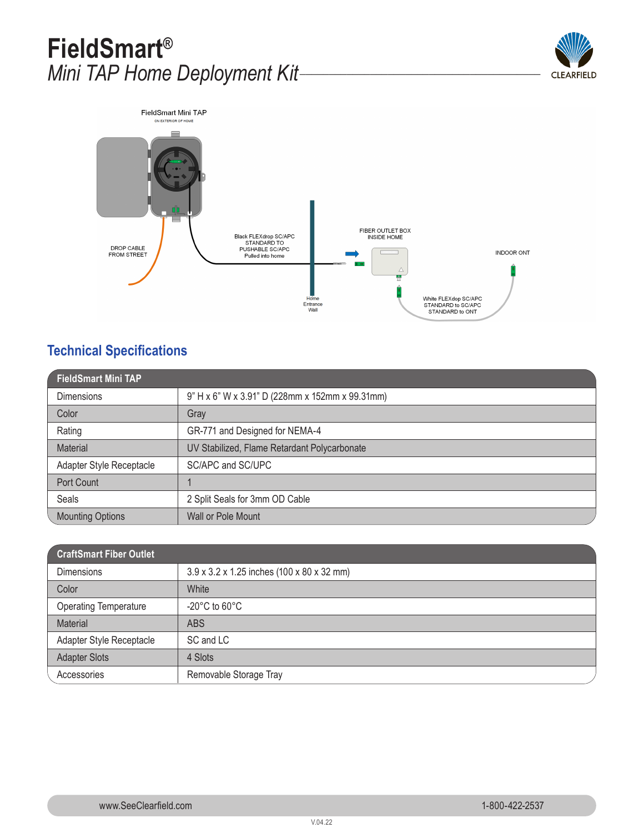## **FieldSmart®** *Mini TAP Home Deployment Kit\_\_\_\_\_\_\_\_\_\_\_\_\_\_\_\_\_\_\_\_\_\_\_\_\_\_\_\_\_\_\_\_\_\_\_\_\_\_\_\_\_*





### **Technical Specifications**

| <b>FieldSmart Mini TAP</b> |                                                 |  |
|----------------------------|-------------------------------------------------|--|
| <b>Dimensions</b>          | 9" H x 6" W x 3.91" D (228mm x 152mm x 99.31mm) |  |
| Color                      | Gray                                            |  |
| Rating                     | GR-771 and Designed for NEMA-4                  |  |
| <b>Material</b>            | UV Stabilized, Flame Retardant Polycarbonate    |  |
| Adapter Style Receptacle   | SC/APC and SC/UPC                               |  |
| Port Count                 |                                                 |  |
| Seals                      | 2 Split Seals for 3mm OD Cable                  |  |
| <b>Mounting Options</b>    | Wall or Pole Mount                              |  |

| <b>CraftSmart Fiber Outlet</b> |                                            |
|--------------------------------|--------------------------------------------|
| <b>Dimensions</b>              | 3.9 x 3.2 x 1.25 inches (100 x 80 x 32 mm) |
| Color                          | White                                      |
| <b>Operating Temperature</b>   | $-20^{\circ}$ C to 60 $^{\circ}$ C         |
| Material                       | <b>ABS</b>                                 |
| Adapter Style Receptacle       | SC and LC                                  |
| <b>Adapter Slots</b>           | 4 Slots                                    |
| Accessories                    | Removable Storage Tray                     |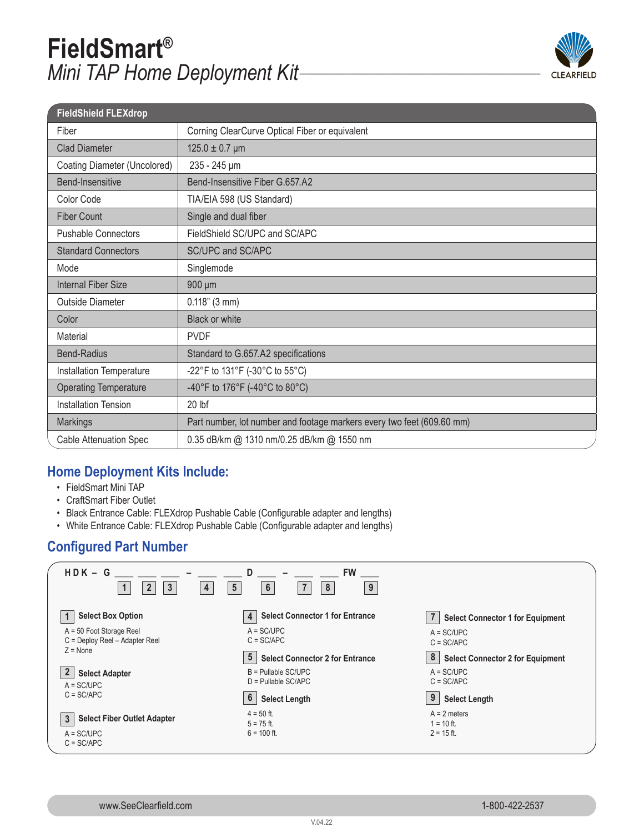# **FieldSmart®** *Mini TAP Home Deployment Kit\_\_\_\_\_\_\_\_\_\_\_\_\_\_\_\_\_\_\_\_\_\_\_\_\_\_\_\_\_\_\_\_\_\_\_\_\_\_\_\_\_*



| <b>FieldShield FLEXdrop</b>   |                                                                        |
|-------------------------------|------------------------------------------------------------------------|
| Fiber                         | Corning ClearCurve Optical Fiber or equivalent                         |
| <b>Clad Diameter</b>          | $125.0 \pm 0.7 \,\text{\mu m}$                                         |
| Coating Diameter (Uncolored)  | 235 - 245 µm                                                           |
| <b>Bend-Insensitive</b>       | Bend-Insensitive Fiber G.657.A2                                        |
| Color Code                    | TIA/EIA 598 (US Standard)                                              |
| <b>Fiber Count</b>            | Single and dual fiber                                                  |
| <b>Pushable Connectors</b>    | FieldShield SC/UPC and SC/APC                                          |
| <b>Standard Connectors</b>    | SC/UPC and SC/APC                                                      |
| Mode                          | Singlemode                                                             |
| <b>Internal Fiber Size</b>    | 900 µm                                                                 |
| <b>Outside Diameter</b>       | $0.118"$ (3 mm)                                                        |
| Color                         | <b>Black or white</b>                                                  |
| Material                      | <b>PVDF</b>                                                            |
| <b>Bend-Radius</b>            | Standard to G.657.A2 specifications                                    |
| Installation Temperature      | -22°F to 131°F (-30°C to 55°C)                                         |
| <b>Operating Temperature</b>  | -40°F to 176°F (-40°C to 80°C)                                         |
| <b>Installation Tension</b>   | 20 lbf                                                                 |
| Markings                      | Part number, lot number and footage markers every two feet (609.60 mm) |
| <b>Cable Attenuation Spec</b> | 0.35 dB/km @ 1310 nm/0.25 dB/km @ 1550 nm                              |

### **Home Deployment Kits Include:**

- FieldSmart Mini TAP
- CraftSmart Fiber Outlet
- Black Entrance Cable: FLEXdrop Pushable Cable (Configurable adapter and lengths)
- White Entrance Cable: FLEXdrop Pushable Cable (Configurable adapter and lengths)

### **Configured Part Number**

| $HDK - G$<br>$\mathbf{3}$<br>4<br>$\overline{2}$                                   | D<br><b>FW</b><br>5<br>$\boldsymbol{6}$<br>8<br>$\overline{7}$<br>9 |                                                |
|------------------------------------------------------------------------------------|---------------------------------------------------------------------|------------------------------------------------|
| <b>Select Box Option</b>                                                           | <b>Select Connector 1 for Entrance</b><br>4                         | <b>Select Connector 1 for Equipment</b>        |
| $A = 50$ Foot Storage Reel<br>C = Deploy Reel - Adapter Reel                       | $A = SC/UPC$<br>$C = SC/APC$                                        | $A = SC/UPC$<br>$C = SC/APC$                   |
| $Z = None$                                                                         | $5\overline{)}$<br><b>Select Connector 2 for Entrance</b>           | 8<br><b>Select Connector 2 for Equipment</b>   |
| $\overline{2}$<br><b>Select Adapter</b><br>$A = SC/UPC$                            | $B =$ Pullable SC/UPC<br>$D =$ Pullable SC/APC                      | $A = SC/UPC$<br>$C = SC/APC$                   |
| $C = SC/APC$                                                                       | 6<br><b>Select Length</b>                                           | 9<br><b>Select Length</b>                      |
| <b>Select Fiber Outlet Adapter</b><br>$\mathbf{3}$<br>$A = SC/UPC$<br>$C = SC/APC$ | $4 = 50$ ft.<br>$5 = 75$ ft.<br>$6 = 100$ ft.                       | $A = 2$ meters<br>$1 = 10$ ft.<br>$2 = 15$ ft. |